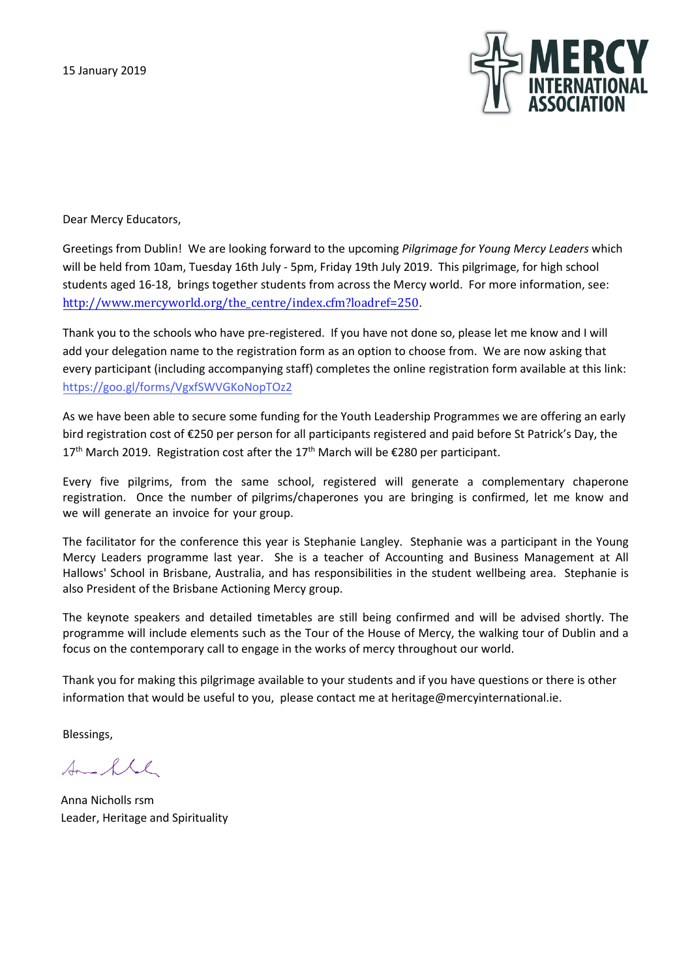

[Dear Mercy Educator](http://www.mercyworld.org/the_centre/index.cfm?loadref=250)s,

Greetings from Dublin! We are looking forward to the upcoming *Pilgrimage for Young Mercy Leaders* which will be held from 10am, Tuesday 16th July - 5pm, Friday 19th July 2019. This pilgrimage, for high school students aged 16-18, brings together students from across the Mercy world. For more information, see: [http://www.mercyworl](https://goo.gl/UAWtuh)d.org/the\_centre/index.cfm?loadref=250.

Thank you to the schools who have pre-registered. If you have not done so, please let me know and I will add your delegation name to the registration form as an option to choose from. We are now asking that every participant (including accompanying staff) completes the online registration form available at this link: https://goo.gl/forms/VgxfSWVGKoNopTOz2

As we have been able to secure some funding for the Youth Leadership Programmes we are offering an early bird registration cost of €250 per person for all participants registered and paid before St Patrick's Day, the  $17<sup>th</sup>$  March 2019. Registration cost after the 17<sup>th</sup> March will be  $E$ 280 per participant.

Every five pilgrims, from the same school, registered will generate a complementary chaperone registration. Once the number of pilgrims/chaperones you are bringing is confirmed, let me know and we will generate an invoice for your group.

The facilitator for the conference this year is Stephanie Langley. Stephanie was a participant in the Young Mercy Leaders programme last year. She is a teacher of Accounting and Business Management at All Hallows' School in Brisbane, Australia, and has responsibilities in the student wellbeing area. Stephanie is also President of the Brisbane Actioning Mercy group.

The keynote speakers and detailed timetables are still being confirmed and will be advised shortly. The programme will include elements such as the Tour of the House of Mercy, the walking tour of Dublin and a focus on the contemporary call to engage in the works of mercy throughout our world.

Thank you for making this pilgrimage available to your students and if you have questions or there is other information that would be useful to you, please contact me at heritage@mercyinternational.ie.

Blessings,

Small

Anna Nicholls rsm Leader, Heritage and Spirituality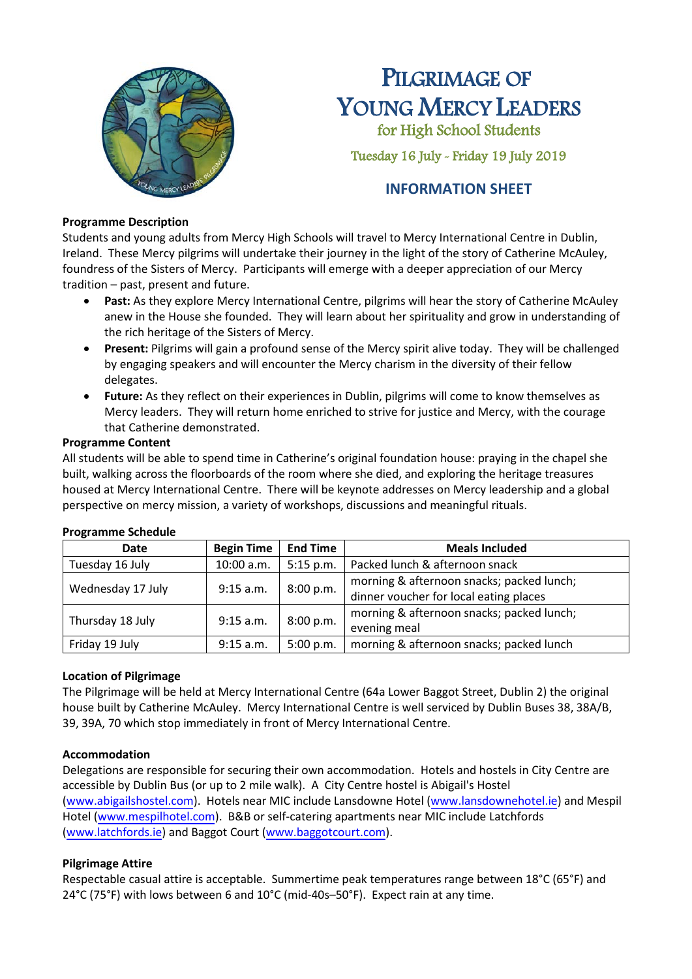

# PILGRIMAGE OF YOUNG MERCY LEADERS

for High School Students

Tuesday 16 July - Friday 19 July 2019

# **INFORMATION SHEET**

### **Programme Description**

Students and young adults from Mercy High Schools will travel to Mercy International Centre in Dublin, Ireland. These Mercy pilgrims will undertake their journey in the light of the story of Catherine McAuley, foundress of the Sisters of Mercy. Participants will emerge with a deeper appreciation of our Mercy tradition – past, present and future.

- **Past:** As they explore Mercy International Centre, pilgrims will hear the story of Catherine McAuley anew in the House she founded. They will learn about her spirituality and grow in understanding of the rich heritage of the Sisters of Mercy.
- **Present:** Pilgrims will gain a profound sense of the Mercy spirit alive today. They will be challenged by engaging speakers and will encounter the Mercy charism in the diversity of their fellow delegates.
- **Future:** As they reflect on their experiences in Dublin, pilgrims will come to know themselves as Mercy leaders. They will return home enriched to strive for justice and Mercy, with the courage that Catherine demonstrated.

#### **Programme Content**

All students will be able to spend time in Catherine's original foundation house: praying in the chapel she built, walking across the floorboards of the room where she died, and exploring the heritage treasures housed at Mercy International Centre. There will be keynote addresses on Mercy leadership and a global perspective on mercy mission, a variety of workshops, discussions and meaningful rituals.

| <b>Date</b>       | <b>Begin Time</b> | <b>End Time</b> | <b>Meals Included</b>                     |
|-------------------|-------------------|-----------------|-------------------------------------------|
| Tuesday 16 July   | 10:00 a.m.        | 5:15 p.m.       | Packed lunch & afternoon snack            |
| Wednesday 17 July | 9:15 a.m.         | 8:00 p.m.       | morning & afternoon snacks; packed lunch; |
|                   |                   |                 | dinner voucher for local eating places    |
| Thursday 18 July  | 9:15 a.m.         | 8:00 p.m.       | morning & afternoon snacks; packed lunch; |
|                   |                   |                 | evening meal                              |
| Friday 19 July    | 9:15 a.m.         | 5:00 p.m.       | morning & afternoon snacks; packed lunch  |

#### **Programme Schedule**

# **Location of Pilgrimage**

The Pilgrimage will be held at Mercy International Centre (64a Lower Baggot Street, Dublin 2) the original house built by Catherine McAuley. Mercy International Centre is well serviced by Dublin Buses 38, 38A/B, 39, 39A, 70 which stop immediately in front of Mercy International Centre.

# **Accommodation**

Delegations are responsible for securing their own accommodation. Hotels and hostels in City Centre are accessible by Dublin Bus (or up to 2 mile walk). A City Centre hostel is Abigail's Hostel [\(www.abigailshostel.com\)](http://www.abigailshostel.com/). Hotels near MIC include Lansdowne Hotel [\(www.lansdownehotel.ie\)](http://www.lansdownehotel.ie/) and Mespil Hotel [\(www.mespilhotel.com\).](http://www.mespilhotel.com/) B&B or self-catering apartments near MIC include Latchfords [\(www.latchfords.ie\)](http://www.latchfords.ie/) and Baggot Court [\(www.baggotcourt.com\)](http://www.baggotcourt.com/).

# **Pilgrimage Attire**

Respectable casual attire is acceptable. Summertime peak temperatures range between 18°C (65°F) and 24°C (75°F) with lows between 6 and 10°C (mid-40s–50°F). Expect rain at any time.